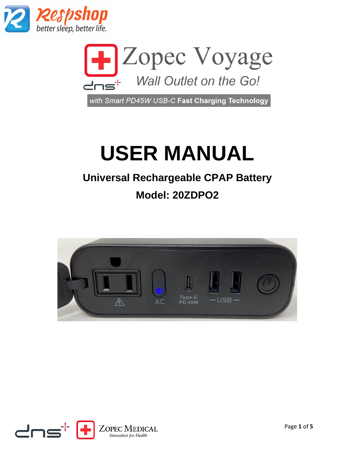



with Smart PD45W USB-C Fast Charging Technology

# **USER MANUAL**

## **Universal Rechargeable CPAP Battery**

### **Model: 20ZDPO2**



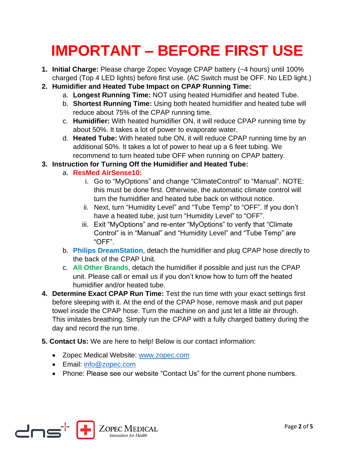## **IMPORTANT – BEFORE FIRST USE**

- **1. Initial Charge:** Please charge Zopec Voyage CPAP battery (~4 hours) until 100% charged (Top 4 LED lights) before first use. (AC Switch must be OFF. No LED light.)
- **2. Humidifier and Heated Tube Impact on CPAP Running Time:**
	- a. **Longest Running Time:** NOT using heated Humidifier and heated Tube.
	- b. **Shortest Running Time:** Using both heated humidifier and heated tube will reduce about 75% of the CPAP running time.
	- c. **Humidifier:** With heated humidifier ON, it will reduce CPAP running time by about 50%. It takes a lot of power to evaporate water.
	- d. **Heated Tube:** With heated tube ON, it will reduce CPAP running time by an additional 50%. It takes a lot of power to heat up a 6 feet tubing. We recommend to turn heated tube OFF when running on CPAP battery.
- **3. Instruction for Turning Off the Humidifier and Heated Tube:**
	- a. **ResMed AirSense10:**
		- i. Go to "MyOptions" and change "ClimateControl" to "Manual". NOTE: this must be done first. Otherwise, the automatic climate control will turn the humidifier and heated tube back on without notice.
		- ii. Next, turn "Humidity Level" and "Tube Temp" to "OFF". If you don't have a heated tube, just turn "Humidity Level" to "OFF".
		- iii. Exit "MyOptions" and re-enter "MyOptions" to verify that "Climate Control" is in "Manual" and "Humidity Level" and "Tube Temp" are "OFF".
	- b. **Philips DreamStation**, detach the humidifier and plug CPAP hose directly to the back of the CPAP Unit.
	- c. **All Other Brands**, detach the humidifier if possible and just run the CPAP unit. Please call or email us if you don't know how to turn off the heated humidifier and/or heated tube.
- **4. Determine Exact CPAP Run Time:** Test the run time with your exact settings first before sleeping with it. At the end of the CPAP hose, remove mask and put paper towel inside the CPAP hose. Turn the machine on and just let a little air through. This imitates breathing. Simply run the CPAP with a fully charged battery during the day and record the run time.
- **5. Contact Us:** We are here to help! Below is our contact information:
	- Zopec Medical Website: [www.zopec.com](http://www.zopec.com/)
	- Email: [info@zopec.com](mailto:info@zopec.com)
	- Phone: Please see our website "Contact Us" for the current phone numbers.

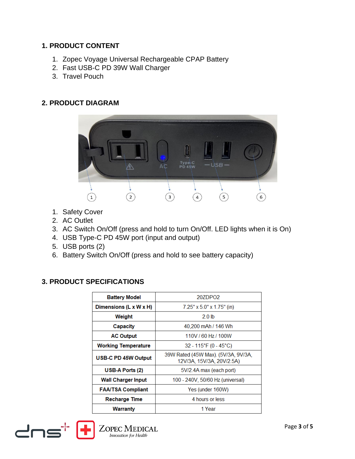#### **1. PRODUCT CONTENT**

- 1. Zopec Voyage Universal Rechargeable CPAP Battery
- 2. Fast USB-C PD 39W Wall Charger
- 3. Travel Pouch

#### **2. PRODUCT DIAGRAM**



- 1. Safety Cover
- 2. AC Outlet
- 3. AC Switch On/Off (press and hold to turn On/Off. LED lights when it is On)
- 4. USB Type-C PD 45W port (input and output)
- 5. USB ports (2)
- 6. Battery Switch On/Off (press and hold to see battery capacity)

#### **3. PRODUCT SPECIFICATIONS**

| <b>Battery Model</b>       | 20ZDPO <sub>2</sub>                                              |  |  |
|----------------------------|------------------------------------------------------------------|--|--|
| Dimensions (L x W x H)     | $7.25''$ x $5.0''$ x $1.75''$ (in)                               |  |  |
| Weight                     | 20 lb                                                            |  |  |
| Capacity                   | 40,200 mAh / 146 Wh                                              |  |  |
| <b>AC Output</b>           | 110V / 60 Hz / 100W                                              |  |  |
| <b>Working Temperature</b> | $32 - 115$ °F (0 - 45°C)                                         |  |  |
| <b>USB-C PD 45W Output</b> | 39W Rated (45W Max). (5V/3A, 9V/3A,<br>12V/3A, 15V/3A, 20V/2.5A) |  |  |
| USB-A Ports (2)            | 5V/2.4A max (each port)                                          |  |  |
| <b>Wall Charger Input</b>  | 100 - 240V, 50/60 Hz (universal)                                 |  |  |
| <b>FAA/TSA Compliant</b>   | Yes (under 160W)                                                 |  |  |
| <b>Recharge Time</b>       | 4 hours or less                                                  |  |  |
| Warranty                   | 1 Year                                                           |  |  |



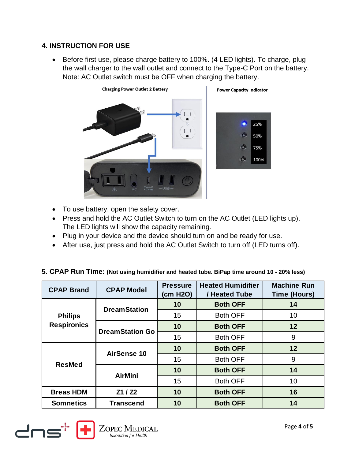#### **4. INSTRUCTION FOR USE**

• Before first use, please charge battery to 100%. (4 LED lights). To charge, plug the wall charger to the wall outlet and connect to the Type-C Port on the battery. Note: AC Outlet switch must be OFF when charging the battery.



- To use battery, open the safety cover.
- Press and hold the AC Outlet Switch to turn on the AC Outlet (LED lights up). The LED lights will show the capacity remaining.
- Plug in your device and the device should turn on and be ready for use.
- After use, just press and hold the AC Outlet Switch to turn off (LED turns off).

#### **5. CPAP Run Time: (Not using humidifier and heated tube. BiPap time around 10 - 20% less)**

| <b>CPAP Brand</b>                    | <b>CPAP Model</b>      | <b>Pressure</b><br>(cm H2O) | <b>Heated Humidifier</b><br>/ Heated Tube | <b>Machine Run</b><br><b>Time (Hours)</b> |
|--------------------------------------|------------------------|-----------------------------|-------------------------------------------|-------------------------------------------|
| <b>Philips</b><br><b>Respironics</b> | <b>DreamStation</b>    | 10                          | <b>Both OFF</b>                           | 14                                        |
|                                      |                        | 15                          | <b>Both OFF</b>                           | 10                                        |
|                                      | <b>DreamStation Go</b> | 10                          | <b>Both OFF</b>                           | 12                                        |
|                                      |                        | 15                          | <b>Both OFF</b>                           | 9                                         |
| <b>ResMed</b>                        | <b>AirSense 10</b>     | 10                          | <b>Both OFF</b>                           | 12                                        |
|                                      |                        | 15                          | <b>Both OFF</b>                           | 9                                         |
|                                      | <b>AirMini</b>         | 10                          | <b>Both OFF</b>                           | 14                                        |
|                                      |                        | 15                          | <b>Both OFF</b>                           | 10                                        |
| <b>Breas HDM</b>                     | Z1 / Z2                | 10                          | <b>Both OFF</b>                           | 16                                        |
| <b>Somnetics</b>                     | <b>Transcend</b>       | 10                          | <b>Both OFF</b>                           | 14                                        |